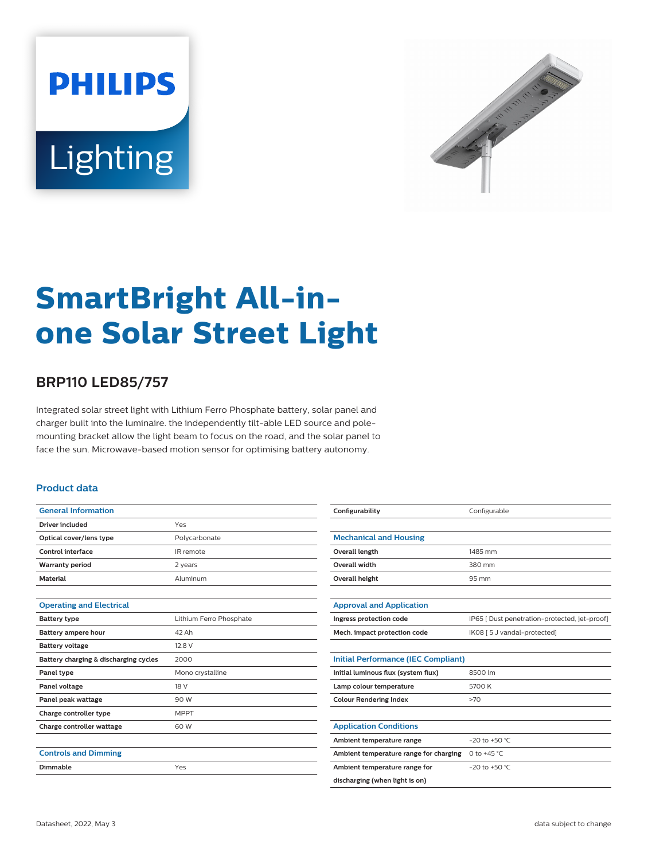



# **SmartBright All-inone Solar Street Light**

## **BRP110 LED85/757**

Integrated solar street light with Lithium Ferro Phosphate battery, solar panel and charger built into the luminaire. the independently tilt-able LED source and polemounting bracket allow the light beam to focus on the road, and the solar panel to face the sun. Microwave-based motion sensor for optimising battery autonomy.

#### **Product data**

| <b>General Information</b>            |                         |
|---------------------------------------|-------------------------|
| <b>Driver included</b>                | Yes                     |
| Optical cover/lens type               | Polycarbonate           |
| Control interface                     | IR remote               |
| <b>Warranty period</b>                | 2 years                 |
| <b>Material</b>                       | Aluminum                |
|                                       |                         |
| <b>Operating and Electrical</b>       |                         |
| <b>Battery type</b>                   | Lithium Ferro Phosphate |
| Battery ampere hour                   | 42 Ah                   |
| <b>Battery voltage</b>                | 12.8 V                  |
| Battery charging & discharging cycles | 2000                    |
| Panel type                            | Mono crystalline        |
| Panel voltage                         | 18 V                    |
| Panel peak wattage                    | 90 W                    |
| Charge controller type                | <b>MPPT</b>             |
| Charge controller wattage             | 60 W                    |
|                                       |                         |
| <b>Controls and Dimming</b>           |                         |
| Dimmable                              | Yes                     |
|                                       |                         |

| Configurability                            | Configurable                                  |  |
|--------------------------------------------|-----------------------------------------------|--|
|                                            |                                               |  |
| <b>Mechanical and Housing</b>              |                                               |  |
| Overall length                             | 1485 mm                                       |  |
| Overall width                              | 380 mm                                        |  |
| <b>Overall height</b>                      | 95 mm                                         |  |
|                                            |                                               |  |
| <b>Approval and Application</b>            |                                               |  |
| Ingress protection code                    | IP65   Dust penetration-protected, jet-proof) |  |
| Mech. impact protection code               | IK08 [ 5 J vandal-protected]                  |  |
|                                            |                                               |  |
| <b>Initial Performance (IEC Compliant)</b> |                                               |  |
| Initial luminous flux (system flux)        | 8500 lm                                       |  |
| Lamp colour temperature                    | 5700 K                                        |  |
| <b>Colour Rendering Index</b>              | >70                                           |  |
|                                            |                                               |  |
| <b>Application Conditions</b>              |                                               |  |
| Ambient temperature range                  | $-20$ to $+50$ °C.                            |  |
| Ambient temperature range for charging     | 0 to +45 $^{\circ}$ C                         |  |
| Ambient temperature range for              | $-20$ to $+50$ °C.                            |  |
| discharging (when light is on)             |                                               |  |